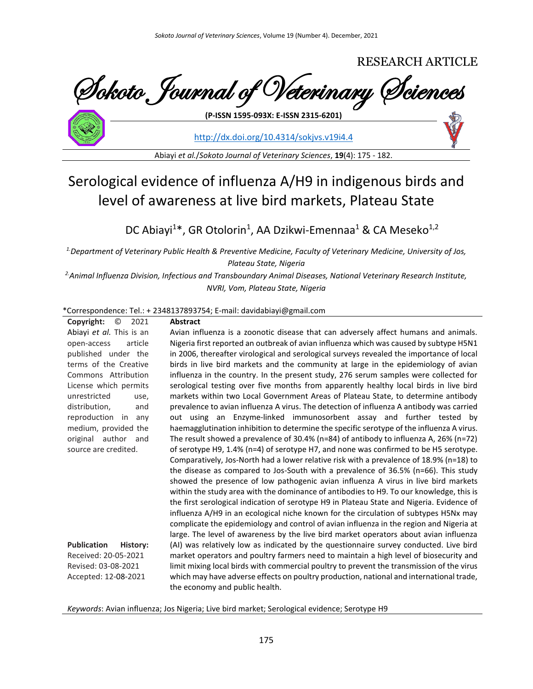# RESEARCH ARTICLE Sokoto Journal of Veterinary Sciences

<http://dx.doi.org/10.4314/sokjvs.v19i4.4>

Abiayi *et al.*/*Sokoto Journal of Veterinary Sciences*, **19**(4): 175 - 182.

**(P-ISSN 1595-093X: E-ISSN 2315-6201)**

# Serological evidence of influenza A/H9 in indigenous birds and level of awareness at live bird markets, Plateau State

DC Abiayi<sup>1\*</sup>, GR Otolorin<sup>1</sup>, AA Dzikwi-Emennaa<sup>1</sup> & CA Meseko<sup>1,2</sup>

*1.Department of Veterinary Public Health & Preventive Medicine, Faculty of Veterinary Medicine, University of Jos, Plateau State, Nigeria*

*2.Animal Influenza Division, Infectious and Transboundary Animal Diseases, National Veterinary Research Institute, NVRI, Vom, Plateau State, Nigeria*

#### \*Correspondence: Tel.: + 2348137893754; E-mail: davidabiayi@gmail.com

| Copyright:<br>O<br>2021        | <b>Abstract</b>                                                                                                           |
|--------------------------------|---------------------------------------------------------------------------------------------------------------------------|
| Abiayi et al. This is an       | Avian influenza is a zoonotic disease that can adversely affect humans and animals.                                       |
| article<br>open-access         | Nigeria first reported an outbreak of avian influenza which was caused by subtype H5N1                                    |
| published under the            | in 2006, thereafter virological and serological surveys revealed the importance of local                                  |
| terms of the Creative          | birds in live bird markets and the community at large in the epidemiology of avian                                        |
| Commons Attribution            | influenza in the country. In the present study, 276 serum samples were collected for                                      |
| License which permits          | serological testing over five months from apparently healthy local birds in live bird                                     |
| unrestricted<br>use,           | markets within two Local Government Areas of Plateau State, to determine antibody                                         |
| distribution,<br>and           | prevalence to avian influenza A virus. The detection of influenza A antibody was carried                                  |
| reproduction in<br>any         | out using an Enzyme-linked immunosorbent assay and further tested by                                                      |
| medium, provided the           | haemagglutination inhibition to determine the specific serotype of the influenza A virus.                                 |
| original author and            | The result showed a prevalence of 30.4% ( $n=84$ ) of antibody to influenza A, 26% ( $n=72$ )                             |
| source are credited.           | of serotype H9, $1.4\%$ (n=4) of serotype H7, and none was confirmed to be H5 serotype.                                   |
|                                | Comparatively, Jos-North had a lower relative risk with a prevalence of 18.9% (n=18) to                                   |
|                                | the disease as compared to Jos-South with a prevalence of 36.5% (n=66). This study                                        |
|                                | showed the presence of low pathogenic avian influenza A virus in live bird markets                                        |
|                                | within the study area with the dominance of antibodies to H9. To our knowledge, this is                                   |
|                                | the first serological indication of serotype H9 in Plateau State and Nigeria. Evidence of                                 |
|                                | influenza A/H9 in an ecological niche known for the circulation of subtypes H5Nx may                                      |
|                                | complicate the epidemiology and control of avian influenza in the region and Nigeria at                                   |
|                                | large. The level of awareness by the live bird market operators about avian influenza                                     |
| <b>Publication</b><br>History: | (AI) was relatively low as indicated by the questionnaire survey conducted. Live bird                                     |
| Received: 20-05-2021           | market operators and poultry farmers need to maintain a high level of biosecurity and                                     |
| Revised: 03-08-2021            | limit mixing local birds with commercial poultry to prevent the transmission of the virus                                 |
| Accepted: 12-08-2021           | which may have adverse effects on poultry production, national and international trade,<br>the economy and public health. |

*Keywords*: Avian influenza; Jos Nigeria; Live bird market; Serological evidence; Serotype H9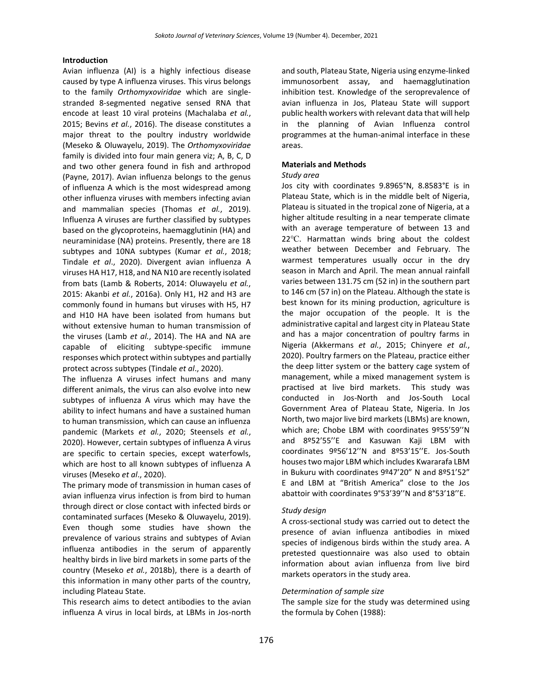#### **Introduction**

Avian influenza (AI) is a highly infectious disease caused by type A influenza viruses. This virus belongs to the family *Orthomyxoviridae* which are singlestranded 8-segmented negative sensed RNA that encode at least 10 viral proteins (Machalaba *et al.*, 2015; Bevins *et al.*, 2016). The disease constitutes a major threat to the poultry industry worldwide (Meseko & Oluwayelu, 2019). The *Orthomyxoviridae* family is divided into four main genera viz; A, B, C, D and two other genera found in fish and arthropod (Payne, 2017). Avian influenza belongs to the genus of influenza A which is the most widespread among other influenza viruses with members infecting avian and mammalian species (Thomas *et al.*, 2019). Influenza A viruses are further classified by subtypes based on the glycoproteins, haemagglutinin (HA) and neuraminidase (NA) proteins. Presently, there are 18 subtypes and 10NA subtypes (Kumar *et al.*, 2018; Tindale *et al*., 2020). Divergent avian influenza A viruses HA H17, H18, and NA N10 are recently isolated from bats (Lamb & Roberts, 2014: Oluwayelu *et al.*, 2015: Akanbi *et al.*, 2016a). Only H1, H2 and H3 are commonly found in humans but viruses with H5, H7 and H10 HA have been isolated from humans but without extensive human to human transmission of the viruses (Lamb *et al.*, 2014). The HA and NA are capable of eliciting subtype-specific immune responses which protect within subtypes and partially protect across subtypes (Tindale *et al*., 2020).

The influenza A viruses infect humans and many different animals, the virus can also evolve into new subtypes of influenza A virus which may have the ability to infect humans and have a sustained human to human transmission, which can cause an influenza pandemic (Markets *et al.*, 2020; Steensels *et al.*, 2020). However, certain subtypes of influenza A virus are specific to certain species, except waterfowls, which are host to all known subtypes of influenza A viruses (Meseko *et al*., 2020).

The primary mode of transmission in human cases of avian influenza virus infection is from bird to human through direct or close contact with infected birds or contaminated surfaces (Meseko & Oluwayelu, 2019). Even though some studies have shown the prevalence of various strains and subtypes of Avian influenza antibodies in the serum of apparently healthy birds in live bird markets in some parts of the country (Meseko *et al.*, 2018b), there is a dearth of this information in many other parts of the country, including Plateau State.

This research aims to detect antibodies to the avian influenza A virus in local birds, at LBMs in Jos-north

and south, Plateau State, Nigeria using enzyme-linked immunosorbent assay, and haemagglutination inhibition test. Knowledge of the seroprevalence of avian influenza in Jos, Plateau State will support public health workers with relevant data that will help in the planning of Avian Influenza control programmes at the human-animal interface in these areas.

#### **Materials and Methods**

#### *Study area*

Jos city with coordinates 9.8965°N, 8.8583°E is in Plateau State, which is in the middle belt of Nigeria, Plateau is situated in the tropical zone of Nigeria, at a higher altitude resulting in a near temperate climate with an average temperature of between 13 and 22℃. Harmattan winds bring about the coldest weather between December and February. The warmest temperatures usually occur in the dry season in March and April. The mean annual rainfall varies between 131.75 cm (52 in) in the southern part to 146 cm (57 in) on the Plateau. Although the state is best known for its mining production, agriculture is the major occupation of the people. It is the administrative capital and largest city in Plateau State and has a major concentration of poultry farms in Nigeria (Akkermans *et al.*, 2015; Chinyere *et al.*, 2020). Poultry farmers on the Plateau, practice either the deep litter system or the battery cage system of management, while a mixed management system is practised at live bird markets. This study was conducted in Jos-North and Jos-South Local Government Area of Plateau State, Nigeria. In Jos North, two major live bird markets (LBMs) are known, which are; Chobe LBM with coordinates 9º55'59''N and 8º52'55''E and Kasuwan Kaji LBM with coordinates 9º56'12''N and 8º53'15''E. Jos-South houses two major LBM which includes Kwararafa LBM in Bukuru with coordinates 9º47'20" N and 8º51'52" E and LBM at "British America" close to the Jos abattoir with coordinates 9°53'39''N and 8°53'18''E.

#### *Study design*

A cross-sectional study was carried out to detect the presence of avian influenza antibodies in mixed species of indigenous birds within the study area. A pretested questionnaire was also used to obtain information about avian influenza from live bird markets operators in the study area.

#### *Determination of sample size*

The sample size for the study was determined using the formula by Cohen (1988):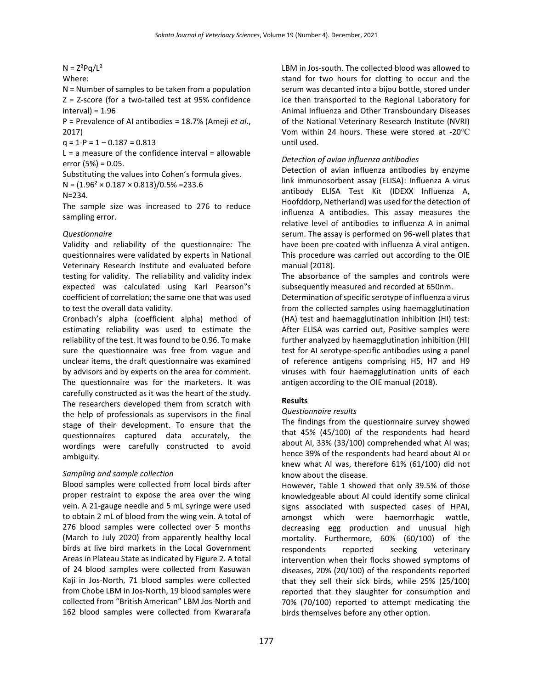# $N = Z^2Pq/L^2$

Where:

N = Number of samples to be taken from a population Z = Z-score (for a two-tailed test at 95% confidence  $interval = 1.96$ 

P = Prevalence of AI antibodies = 18.7% (Ameji *et al*., 2017)

 $q = 1-P = 1 - 0.187 = 0.813$ 

 $L = a$  measure of the confidence interval = allowable error  $(5%) = 0.05$ .

Substituting the values into Cohen's formula gives.

 $N = (1.96<sup>2</sup> \times 0.187 \times 0.813)/0.5\% = 233.6$ 

#### N=234.

The sample size was increased to 276 to reduce sampling error.

#### *Questionnaire*

Validity and reliability of the questionnaire*:* The questionnaires were validated by experts in National Veterinary Research Institute and evaluated before testing for validity. The reliability and validity index expected was calculated using Karl Pearson"s coefficient of correlation; the same one that was used to test the overall data validity.

Cronbach's alpha (coefficient alpha) method of estimating reliability was used to estimate the reliability of the test. It was found to be 0.96. To make sure the questionnaire was free from vague and unclear items, the draft questionnaire was examined by advisors and by experts on the area for comment. The questionnaire was for the marketers. It was carefully constructed as it was the heart of the study. The researchers developed them from scratch with the help of professionals as supervisors in the final stage of their development. To ensure that the questionnaires captured data accurately, the wordings were carefully constructed to avoid ambiguity.

# *Sampling and sample collection*

Blood samples were collected from local birds after proper restraint to expose the area over the wing vein. A 21-gauge needle and 5 mL syringe were used to obtain 2 mL of blood from the wing vein. A total of 276 blood samples were collected over 5 months (March to July 2020) from apparently healthy local birds at live bird markets in the Local Government Areas in Plateau State as indicated by Figure 2. A total of 24 blood samples were collected from Kasuwan Kaji in Jos-North, 71 blood samples were collected from Chobe LBM in Jos-North, 19 blood samples were collected from "British American" LBM Jos-North and 162 blood samples were collected from Kwararafa

LBM in Jos-south. The collected blood was allowed to stand for two hours for clotting to occur and the serum was decanted into a bijou bottle, stored under ice then transported to the Regional Laboratory for Animal Influenza and Other Transboundary Diseases of the National Veterinary Research Institute (NVRI) Vom within 24 hours. These were stored at -20℃ until used.

#### *Detection of avian influenza antibodies*

Detection of avian influenza antibodies by enzyme link immunosorbent assay (ELISA): Influenza A virus antibody ELISA Test Kit (IDEXX Influenza A, Hoofddorp, Netherland) was used for the detection of influenza A antibodies. This assay measures the relative level of antibodies to influenza A in animal serum. The assay is performed on 96-well plates that have been pre-coated with influenza A viral antigen. This procedure was carried out according to the OIE manual (2018).

The absorbance of the samples and controls were subsequently measured and recorded at 650nm.

Determination of specific serotype of influenza a virus from the collected samples using haemagglutination (HA) test and haemagglutination inhibition (HI) test: After ELISA was carried out, Positive samples were further analyzed by haemagglutination inhibition (HI) test for AI serotype-specific antibodies using a panel of reference antigens comprising H5, H7 and H9 viruses with four haemagglutination units of each antigen according to the OIE manual (2018).

# **Results**

#### *Questionnaire results*

The findings from the questionnaire survey showed that 45% (45/100) of the respondents had heard about AI, 33% (33/100) comprehended what AI was; hence 39% of the respondents had heard about AI or knew what AI was, therefore 61% (61/100) did not know about the disease.

However, Table 1 showed that only 39.5% of those knowledgeable about AI could identify some clinical signs associated with suspected cases of HPAI, amongst which were haemorrhagic wattle, decreasing egg production and unusual high mortality. Furthermore, 60% (60/100) of the respondents reported seeking veterinary intervention when their flocks showed symptoms of diseases, 20% (20/100) of the respondents reported that they sell their sick birds, while 25% (25/100) reported that they slaughter for consumption and 70% (70/100) reported to attempt medicating the birds themselves before any other option.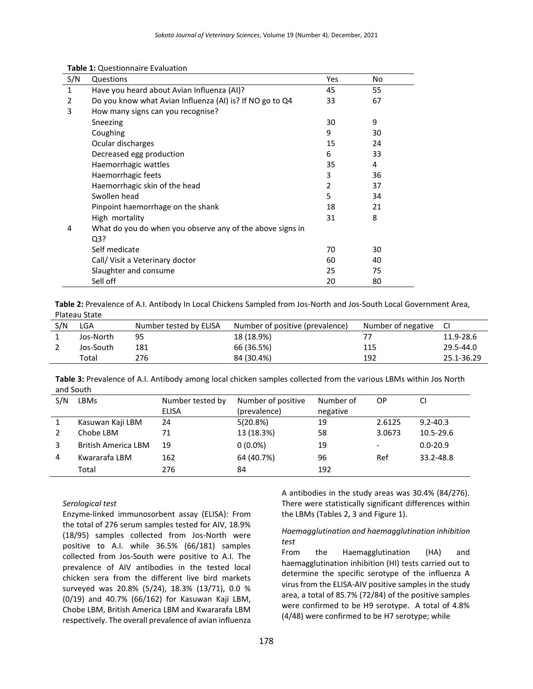| S/N          | Questions                                                 | Yes | No |
|--------------|-----------------------------------------------------------|-----|----|
| $\mathbf{1}$ | Have you heard about Avian Influenza (AI)?                | 45  | 55 |
| 2            | Do you know what Avian Influenza (AI) is? If NO go to Q4  | 33  | 67 |
| 3            | How many signs can you recognise?                         |     |    |
|              | Sneezing                                                  | 30  | 9  |
|              | Coughing                                                  | 9   | 30 |
|              | Ocular discharges                                         | 15  | 24 |
|              | Decreased egg production                                  | 6   | 33 |
|              | Haemorrhagic wattles                                      | 35  | 4  |
|              | Haemorrhagic feets                                        | 3   | 36 |
|              | Haemorrhagic skin of the head                             | 2   | 37 |
|              | Swollen head                                              | 5   | 34 |
|              | Pinpoint haemorrhage on the shank                         | 18  | 21 |
|              | High mortality                                            | 31  | 8  |
| 4            | What do you do when you observe any of the above signs in |     |    |
|              | Q3?                                                       |     |    |
|              | Self medicate                                             | 70  | 30 |
|              | Call/ Visit a Veterinary doctor                           | 60  | 40 |
|              | Slaughter and consume                                     | 25  | 75 |
|              | Sell off                                                  | 20  | 80 |

#### **Table 1:** Questionnaire Evaluation

**Table 2:** Prevalence of A.I. Antibody In Local Chickens Sampled from Jos-North and Jos-South Local Government Area, Plateau State

| S/N | LGA       | Number tested by ELISA | Number of positive (prevalence) | Number of negative | -CI        |
|-----|-----------|------------------------|---------------------------------|--------------------|------------|
|     | Jos-North | 95                     | 18 (18.9%)                      |                    | 11.9-28.6  |
|     | Jos-South | 181                    | 66 (36.5%)                      | 115                | 29.5-44.0  |
|     | Total     | 276                    | 84 (30.4%)                      | 192                | 25.1-36.29 |

**Table 3:** Prevalence of A.I. Antibody among local chicken samples collected from the various LBMs within Jos North and South

| S/N | LBMs                       | Number tested by | Number of positive | Number of | 0P                       | CI            |
|-----|----------------------------|------------------|--------------------|-----------|--------------------------|---------------|
|     |                            | <b>ELISA</b>     | (prevalence)       | negative  |                          |               |
|     | Kasuwan Kaji LBM           | 24               | 5(20.8%)           | 19        | 2.6125                   | $9.2 - 40.3$  |
|     | Chobe LBM                  | 71               | 13 (18.3%)         | 58        | 3.0673                   | $10.5 - 29.6$ |
|     | <b>British America LBM</b> | 19               | $0(0.0\%)$         | 19        | $\overline{\phantom{a}}$ | $0.0 - 20.9$  |
| 4   | Kwararafa LBM              | 162              | 64 (40.7%)         | 96        | Ref                      | 33.2-48.8     |
|     | Total                      | 276              | 84                 | 192       |                          |               |

#### *Serological test*

Enzyme-linked immunosorbent assay (ELISA): From the total of 276 serum samples tested for AIV, 18.9% (18/95) samples collected from Jos-North were positive to A.I. while 36.5% (66/181) samples collected from Jos-South were positive to A.I. The prevalence of AIV antibodies in the tested local chicken sera from the different live bird markets surveyed was 20.8% (5/24), 18.3% (13/71), 0.0 % (0/19) and 40.7% (66/162) for Kasuwan Kaji LBM, Chobe LBM, British America LBM and Kwararafa LBM respectively. The overall prevalence of avian influenza

A antibodies in the study areas was 30.4% (84/276). There were statistically significant differences within the LBMs (Tables 2, 3 and Figure 1).

#### *Haemagglutination and haemagglutination inhibition test*

From the Haemagglutination (HA) and haemagglutination inhibition (HI) tests carried out to determine the specific serotype of the influenza A virus from the ELISA-AIV positive samples in the study area, a total of 85.7% (72/84) of the positive samples were confirmed to be H9 serotype. A total of 4.8% (4/48) were confirmed to be H7 serotype; while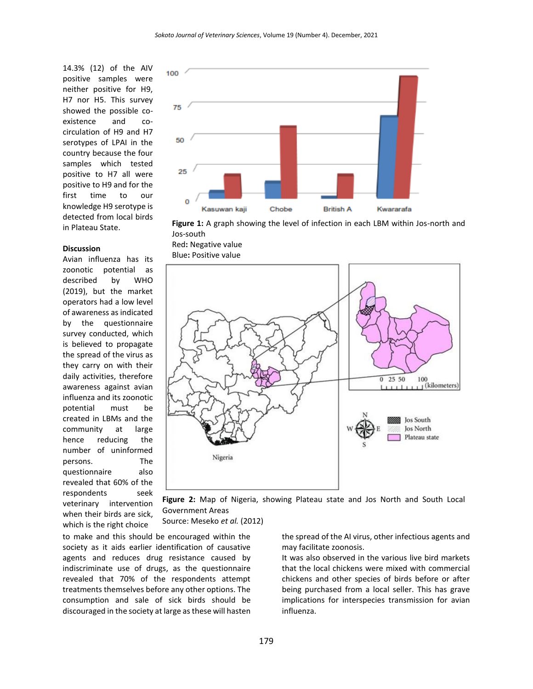14.3% (12) of the AIV positive samples were neither positive for H9, H7 nor H5. This survey showed the possible coexistence and cocirculation of H9 and H7 serotypes of LPAI in the country because the four samples which tested positive to H7 all were positive to H9 and for the first time to our knowledge H9 serotype is detected from local birds in Plateau State.

#### **Discussion**

Avian influenza has its zoonotic potential as described by WHO (2019), but the market operators had a low level of awareness as indicated by the questionnaire survey conducted, which is believed to propagate the spread of the virus as they carry on with their daily activities, therefore awareness against avian influenza and its zoonotic potential must be created in LBMs and the community at large hence reducing the number of uninformed persons. The questionnaire also revealed that 60% of the respondents seek veterinary intervention when their birds are sick, which is the right choice



**Figure 1:** A graph showing the level of infection in each LBM within Jos-north and Jos-south

Red**:** Negative value Blue**:** Positive value



**Figure 2:** Map of Nigeria, showing Plateau state and Jos North and South Local Government Areas

Source: Meseko *et al.* (2012)

to make and this should be encouraged within the society as it aids earlier identification of causative agents and reduces drug resistance caused by indiscriminate use of drugs, as the questionnaire revealed that 70% of the respondents attempt treatments themselves before any other options. The consumption and sale of sick birds should be discouraged in the society at large as these will hasten

the spread of the AI virus, other infectious agents and may facilitate zoonosis.

It was also observed in the various live bird markets that the local chickens were mixed with commercial chickens and other species of birds before or after being purchased from a local seller. This has grave implications for interspecies transmission for avian influenza.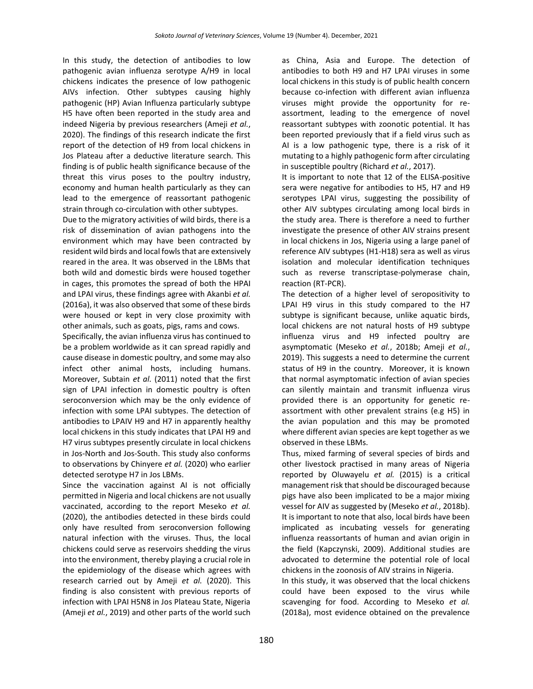In this study, the detection of antibodies to low pathogenic avian influenza serotype A/H9 in local chickens indicates the presence of low pathogenic AIVs infection. Other subtypes causing highly pathogenic (HP) Avian Influenza particularly subtype H5 have often been reported in the study area and indeed Nigeria by previous researchers (Ameji *et al.*, 2020). The findings of this research indicate the first report of the detection of H9 from local chickens in Jos Plateau after a deductive literature search. This finding is of public health significance because of the threat this virus poses to the poultry industry, economy and human health particularly as they can lead to the emergence of reassortant pathogenic strain through co-circulation with other subtypes.

Due to the migratory activities of wild birds, there is a risk of dissemination of avian pathogens into the environment which may have been contracted by resident wild birds and local fowls that are extensively reared in the area. It was observed in the LBMs that both wild and domestic birds were housed together in cages, this promotes the spread of both the HPAI and LPAI virus, these findings agree with Akanbi *et al.* (2016a), it was also observed that some of these birds were housed or kept in very close proximity with other animals, such as goats, pigs, rams and cows.

Specifically, the avian influenza virus has continued to be a problem worldwide as it can spread rapidly and cause disease in domestic poultry, and some may also infect other animal hosts, including humans. Moreover, Subtain *et al.* (2011) noted that the first sign of LPAI infection in domestic poultry is often seroconversion which may be the only evidence of infection with some LPAI subtypes. The detection of antibodies to LPAIV H9 and H7 in apparently healthy local chickens in this study indicates that LPAI H9 and H7 virus subtypes presently circulate in local chickens in Jos-North and Jos-South. This study also conforms to observations by Chinyere *et al.* (2020) who earlier detected serotype H7 in Jos LBMs.

Since the vaccination against AI is not officially permitted in Nigeria and local chickens are not usually vaccinated, according to the report Meseko *et al.* (2020), the antibodies detected in these birds could only have resulted from seroconversion following natural infection with the viruses. Thus, the local chickens could serve as reservoirs shedding the virus into the environment, thereby playing a crucial role in the epidemiology of the disease which agrees with research carried out by Ameji *et al.* (2020). This finding is also consistent with previous reports of infection with LPAI H5N8 in Jos Plateau State, Nigeria (Ameji *et al.*, 2019) and other parts of the world such as China, Asia and Europe. The detection of antibodies to both H9 and H7 LPAI viruses in some local chickens in this study is of public health concern because co-infection with different avian influenza viruses might provide the opportunity for reassortment, leading to the emergence of novel reassortant subtypes with zoonotic potential. It has been reported previously that if a field virus such as AI is a low pathogenic type, there is a risk of it mutating to a highly pathogenic form after circulating in susceptible poultry (Richard *et al.*, 2017).

It is important to note that 12 of the ELISA-positive sera were negative for antibodies to H5, H7 and H9 serotypes LPAI virus, suggesting the possibility of other AIV subtypes circulating among local birds in the study area. There is therefore a need to further investigate the presence of other AIV strains present in local chickens in Jos, Nigeria using a large panel of reference AIV subtypes (H1-H18) sera as well as virus isolation and molecular identification techniques such as reverse transcriptase-polymerase chain, reaction (RT-PCR).

The detection of a higher level of seropositivity to LPAI H9 virus in this study compared to the H7 subtype is significant because, unlike aquatic birds, local chickens are not natural hosts of H9 subtype influenza virus and H9 infected poultry are asymptomatic (Meseko *et al.*, 2018b; Ameji *et al.*, 2019). This suggests a need to determine the current status of H9 in the country. Moreover, it is known that normal asymptomatic infection of avian species can silently maintain and transmit influenza virus provided there is an opportunity for genetic reassortment with other prevalent strains (e.g H5) in the avian population and this may be promoted where different avian species are kept together as we observed in these LBMs.

Thus, mixed farming of several species of birds and other livestock practised in many areas of Nigeria reported by Oluwayelu *et al.* (2015) is a critical management risk that should be discouraged because pigs have also been implicated to be a major mixing vessel for AIV as suggested by (Meseko *et al.*, 2018b). It is important to note that also, local birds have been implicated as incubating vessels for generating influenza reassortants of human and avian origin in the field (Kapczynski, 2009). Additional studies are advocated to determine the potential role of local chickens in the zoonosis of AIV strains in Nigeria.

In this study, it was observed that the local chickens could have been exposed to the virus while scavenging for food. According to Meseko *et al.* (2018a), most evidence obtained on the prevalence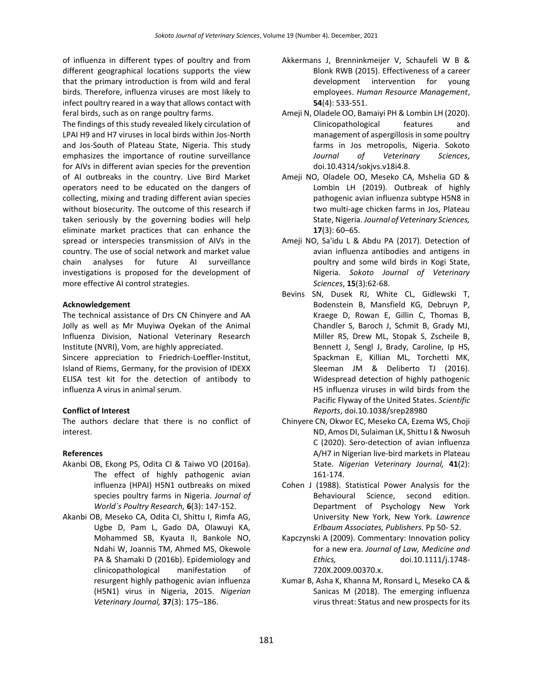of influenza in different types of poultry and from different geographical locations supports the view that the primary introduction is from wild and feral birds. Therefore, influenza viruses are most likely to infect poultry reared in a way that allows contact with feral birds, such as on range poultry farms.

The findings of this study revealed likely circulation of LPAI H9 and H7 viruses in local birds within Jos-North and Jos-South of Plateau State, Nigeria. This study emphasizes the importance of routine surveillance for AIVs in different avian species for the prevention of AI outbreaks in the country. Live Bird Market operators need to be educated on the dangers of collecting, mixing and trading different avian species without biosecurity. The outcome of this research if taken seriously by the governing bodies will help eliminate market practices that can enhance the spread or interspecies transmission of AIVs in the country. The use of social network and market value chain analyses for future AI surveillance investigations is proposed for the development of more effective AI control strategies.

#### **Acknowledgement**

The technical assistance of Drs CN Chinyere and AA Jolly as well as Mr Muyiwa Oyekan of the Animal Influenza Division, National Veterinary Research Institute (NVRI), Vom, are highly appreciated. Sincere appreciation to Friedrich-Loeffler-Institut,

Island of Riems, Germany, for the provision of IDEXX ELISA test kit for the detection of antibody to influenza A virus in animal serum.

#### **Conflict of Interest**

The authors declare that there is no conflict of interest.

#### **References**

- Akanbi OB, Ekong PS, Odita CI & Taiwo VO (2016a). The effect of highly pathogenic avian influenza (HPAI) H5N1 outbreaks on mixed species poultry farms in Nigeria. *Journal of World`s Poultry Research,* **6**(3): 147-152.
- Akanbi OB, Meseko CA, Odita CI, Shittu I, Rimfa AG, Ugbe D, Pam L, Gado DA, Olawuyi KA, Mohammed SB, Kyauta II, Bankole NO, Ndahi W, Joannis TM, Ahmed MS, Okewole PA & Shamaki D (2016b). Epidemiology and clinicopathological manifestation of resurgent highly pathogenic avian influenza (H5N1) virus in Nigeria, 2015. *Nigerian Veterinary Journal,* **37**(3): 175–186.
- Akkermans J, Brenninkmeijer V, Schaufeli W B & Blonk RWB (2015). Effectiveness of a career development intervention for young employees. *Human Resource Management*, **54**(4): 533-551.
- Ameji N, Oladele OO, Bamaiyi PH & Lombin LH (2020). Clinicopathological features and management of aspergillosis in some poultry farms in Jos metropolis, Nigeria. Sokoto *Journal of Veterinary Sciences*, doi.10.4314/sokjvs.v18i4.8.
- Ameji NO, Oladele OO, Meseko CA, Mshelia GD & Lombin LH (2019). Outbreak of highly pathogenic avian influenza subtype H5N8 in two multi-age chicken farms in Jos, Plateau State, Nigeria. *Journal of Veterinary Sciences,* **17**(3): 60–65.
- Ameji NO, Sa'idu L & Abdu PA (2017). Detection of avian influenza antibodies and antigens in poultry and some wild birds in Kogi State, Nigeria. *Sokoto Journal of Veterinary Sciences*, **15**(3):62-68.
- Bevins SN, Dusek RJ, White CL, Gidlewski T, Bodenstein B, Mansfield KG, Debruyn P, Kraege D, Rowan E, Gillin C, Thomas B, Chandler S, Baroch J, Schmit B, Grady MJ, Miller RS, Drew ML, Stopak S, Zscheile B, Bennett J, Sengl J, Brady, Caroline, Ip HS, Spackman E, Killian ML, Torchetti MK, Sleeman JM & Deliberto TJ (2016). Widespread detection of highly pathogenic H5 influenza viruses in wild birds from the Pacific Flyway of the United States. *Scientific Reports*, doi.10.1038/srep28980
- Chinyere CN, Okwor EC, Meseko CA, Ezema WS, Choji ND, Amos DI, Sulaiman LK, Shittu I & Nwosuh C (2020). Sero-detection of avian influenza A/H7 in Nigerian live-bird markets in Plateau State. *Nigerian Veterinary Journal,* **41**(2): 161-174.
- Cohen J (1988). Statistical Power Analysis for the Behavioural Science, second edition. Department of Psychology New York University New York, New York. *Lawrence Erlbaum Associates, Publishers.* Pp 50- 52.
- Kapczynski A (2009). Commentary: Innovation policy for a new era. *Journal of Law, Medicine and Ethics,* doi.10.1111/j.1748- 720X.2009.00370.x.
- Kumar B, Asha K, Khanna M, Ronsard L, Meseko CA & Sanicas M (2018). The emerging influenza virus threat: Status and new prospects for its